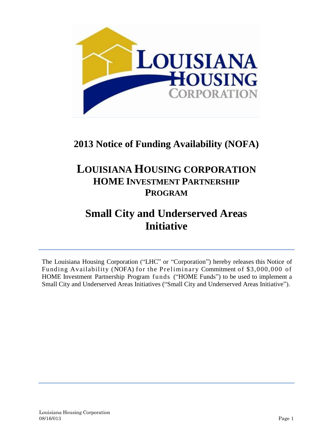

### **2013 Notice of Funding Availability (NOFA)**

### **LOUISIANA HOUSING CORPORATION HOME INVESTMENT PARTNERSHIP PROGRAM**

### **Small City and Underserved Areas Initiative**

The Louisiana Housing Corporation ("LHC" or "Corporation") hereby releases this Notice of Funding Availability (NOFA) for the Preliminary Commitment of \$3,000,000 of HOME Investment Partnership Program funds ("HOME Funds") to be used to implement a Small City and Underserved Areas Initiatives ("Small City and Underserved Areas Initiative").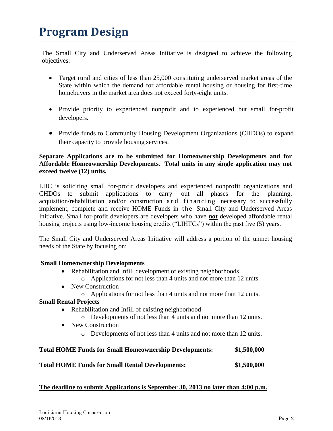# **Program Design**

The Small City and Underserved Areas Initiative is designed to achieve the following objectives:

- Target rural and cities of less than 25,000 constituting underserved market areas of the State within which the demand for affordable rental housing or housing for first-time homebuyers in the market area does not exceed forty-eight units.
- Provide priority to experienced nonprofit and to experienced but small for-profit developers.
- Provide funds to Community Housing Development Organizations (CHDOs) to expand their capacity to provide housing services.

#### **Separate Applications are to be submitted for Homeownership Developments and for Affordable Homeownership Developments. Total units in any single application may not exceed twelve (12) units.**

LHC is soliciting small for-profit developers and experienced nonprofit organizations and CHDOs to submit applications to carry out all phases for the planning, acquisition/rehabilitation and/or construction and financing necessary to successfully implement, complete and receive HOME Funds in the Small City and Underserved Areas Initiative. Small for-profit developers are developers who have **not** developed affordable rental housing projects using low-income housing credits ("LIHTCs") within the past five (5) years.

The Small City and Underserved Areas Initiative will address a portion of the unmet housing needs of the State by focusing on:

#### **Small Homeownership Developments**

- Rehabilitation and Infill development of existing neighborhoods
	- o Applications for not less than 4 units and not more than 12 units.
- New Construction
	- o Applications for not less than 4 units and not more than 12 units.

### **Small Rental Projects**

- Rehabilitation and Infill of existing neighborhood
	- o Developments of not less than 4 units and not more than 12 units.
- New Construction
	- o Developments of not less than 4 units and not more than 12 units.

| <b>Total HOME Funds for Small Homeownership Developments:</b> | \$1,500,000 |
|---------------------------------------------------------------|-------------|
| <b>Total HOME Funds for Small Rental Developments:</b>        | \$1,500,000 |

### **The deadline to submit Applications is September 30, 2013 no later than 4:00 p.m.**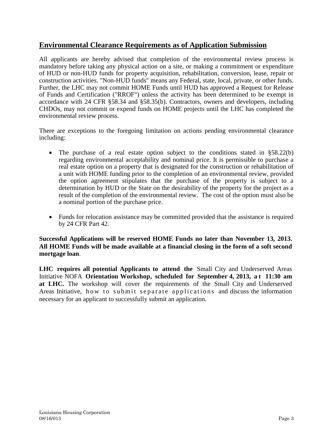### **Environmental Clearance Requirements as of Application Submission**

All applicants are hereby advised that completion of the environmental review process is mandatory before taking any physical action on a site, or making a commitment or expenditure of HUD or non-HUD funds for property acquisition, rehabilitation, conversion, lease, repair or construction activities. "Non-HUD funds" means any Federal, state, local, private, or other funds. Further, the LHC may not commit HOME Funds until HUD has approved a Request for Release of Funds and Certification ("RROF") unless the activity has been determined to be exempt in accordance with 24 CFR §58.34 and §58.35(b). Contractors, owners and developers, including CHDOs, may not commit or expend funds on HOME projects until the LHC has completed the environmental review process.

There are exceptions to the foregoing limitation on actions pending environmental clearance including:

- The purchase of a real estate option subject to the conditions stated in §58.22(b) regarding environmental acceptability and nominal price. It is permissible to purchase a real estate option on a property that is designated for the construction or rehabilitation of a unit with HOME funding prior to the completion of an environmental review, provided the option agreement stipulates that the purchase of the property is subject to a determination by HUD or the State on the desirability of the property for the project as a result of the completion of the environmental review. The cost of the option must also be a nominal portion of the purchase price.
- Funds for relocation assistance may be committed provided that the assistance is required by 24 CFR Part 42.

#### **Successful Applications will be reserved HOME Funds no later than November 13, 2013. All HOME Funds will be made available at a financial closing in the form of a soft second mortgage loan**.

**LHC requires all potential Applicants to attend the** Small City and Underserved Areas Initiative NOFA **Orientation Workshop, scheduled for September 4, 2013, a t 11:30 am at LHC.** The workshop will cover the requirements of the Small City and Underserved Areas Initiative, how to submit separate applications and discuss the information necessary for an applicant to successfully submit an application.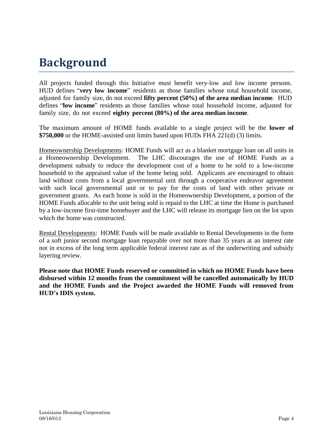# **Background**

All projects funded through this Initiative must benefit very-low and low income persons. HUD defines "**very low income**" residents as those families whose total household income, adjusted for family size, do not exceed **fifty percent (50%) of the area median income**. HUD defines "**low income**" residents as those families whose total household income, adjusted for family size, do not exceed **eighty percent (80%) of the area median income**.

The maximum amount of HOME funds available to a single project will be the **lower of \$750,000** or the HOME-assisted unit limits based upon HUDs FHA 221(d) (3) limits.

Homeownership Developments: HOME Funds will act as a blanket mortgage loan on all units in a Homeownership Development. The LHC discourages the use of HOME Funds as a development subsidy to reduce the development cost of a home to be sold to a low-income household to the appraised value of the home being sold. Applicants are encouraged to obtain land without costs from a local governmental unit through a cooperative endeavor agreement with such local governmental unit or to pay for the costs of land with other private or government grants. As each home is sold in the Homeownership Development, a portion of the HOME Funds allocable to the unit being sold is repaid to the LHC at time the Home is purchased by a low-income first-time homebuyer and the LHC will release its mortgage lien on the lot upon which the home was constructed.

Rental Developments: HOME Funds will be made available to Rental Developments in the form of a soft junior second mortgage loan repayable over not more than 35 years at an interest rate not in excess of the long term applicable federal interest rate as of the underwriting and subsidy layering review.

**Please note that HOME Funds reserved or committed in which no HOME Funds have been disbursed within 12 months from the commitment will be cancelled automatically by HUD and the HOME Funds and the Project awarded the HOME Funds will removed from HUD's IDIS system.**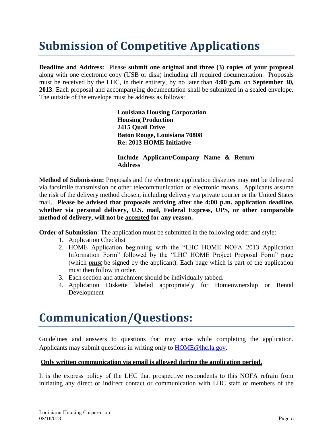# **Submission of Competitive Applications**

**Deadline and Address:** Please **submit one original and three (3) copies of your proposal** along with one electronic copy (USB or disk) including all required documentation. Proposals must be received by the LHC, in their entirety, by no later than **4:00 p.m**. on **September 30, 2013**. Each proposal and accompanying documentation shall be submitted in a sealed envelope. The outside of the envelope must be address as follows:

> **Louisiana Housing Corporation Housing Production 2415 Quail Drive Baton Rouge, Louisiana 70808 Re: 2013 HOME Initiative**

**Include Applicant/Company Name & Return Address**

**Method of Submission:** Proposals and the electronic application diskettes may **not** be delivered via facsimile transmission or other telecommunication or electronic means. Applicants assume the risk of the delivery method chosen, including delivery via private courier or the United States mail. **Please be advised that proposals arriving after the 4:00 p.m. application deadline, whether via personal delivery, U.S. mail, Federal Express, UPS, or other comparable method of delivery, will not be accepted for any reason.**

**Order of Submission**: The application must be submitted in the following order and style:

- 1. Application Checklist
- 2. HOME Application beginning with the "LHC HOME NOFA 2013 Application Information Form" followed by the "LHC HOME Project Proposal Form" page (which *must* be signed by the applicant). Each page which is part of the application must then follow in order.
- 3. Each section and attachment should be individually tabbed.
- 4. Application Diskette labeled appropriately for Homeownership or Rental Development

# **Communication/Questions:**

Guidelines and answers to questions that may arise while completing the application. Applicants may submit questions in writing only to [HOME@lhc.la.gov.](mailto:HOME@lhc.la.gov)

#### **Only written communication via email is allowed during the application period.**

It is the express policy of the LHC that prospective respondents to this NOFA refrain from initiating any direct or indirect contact or communication with LHC staff or members of the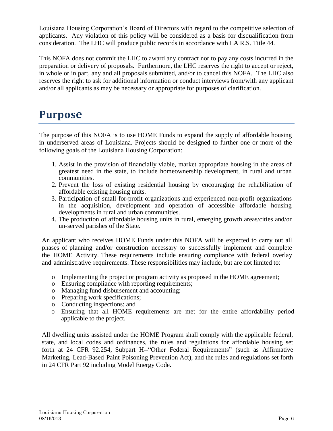Louisiana Housing Corporation's Board of Directors with regard to the competitive selection of applicants. Any violation of this policy will be considered as a basis for disqualification from consideration. The LHC will produce public records in accordance with LA R.S. Title 44.

This NOFA does not commit the LHC to award any contract nor to pay any costs incurred in the preparation or delivery of proposals. Furthermore, the LHC reserves the right to accept or reject, in whole or in part, any and all proposals submitted, and/or to cancel this NOFA. The LHC also reserves the right to ask for additional information or conduct interviews from/with any applicant and/or all applicants as may be necessary or appropriate for purposes of clarification.

### **Purpose**

The purpose of this NOFA is to use HOME Funds to expand the supply of affordable housing in underserved areas of Louisiana. Projects should be designed to further one or more of the following goals of the Louisiana Housing Corporation:

- 1. Assist in the provision of financially viable, market appropriate housing in the areas of greatest need in the state, to include homeownership development, in rural and urban communities.
- 2. Prevent the loss of existing residential housing by encouraging the rehabilitation of affordable existing housing units.
- 3. Participation of small for-profit organizations and experienced non-profit organizations in the acquisition, development and operation of accessible affordable housing developments in rural and urban communities.
- 4. The production of affordable housing units in rural, emerging growth areas/cities and/or un-served parishes of the State.

An applicant who receives HOME Funds under this NOFA will be expected to carry out all phases of planning and/or construction necessary to successfully implement and complete the HOME Activity. These requirements include ensuring compliance with federal overlay and administrative requirements. These responsibilities may include, but are not limited to:

- o Implementing the project or program activity as proposed in the HOME agreement;
- o Ensuring compliance with reporting requirements;
- o Managing fund disbursement and accounting;
- o Preparing work specifications;
- o Conducting inspections: and
- o Ensuring that all HOME requirements are met for the entire affordability period applicable to the project.

All dwelling units assisted under the HOME Program shall comply with the applicable federal, state, and local codes and ordinances, the rules and regulations for affordable housing set forth at 24 CFR 92.254, Subpart H--"Other Federal Requirements" (such as Affirmative Marketing, Lead-Based Paint Poisoning Prevention Act), and the rules and regulations set forth in 24 CFR Part 92 including Model Energy Code.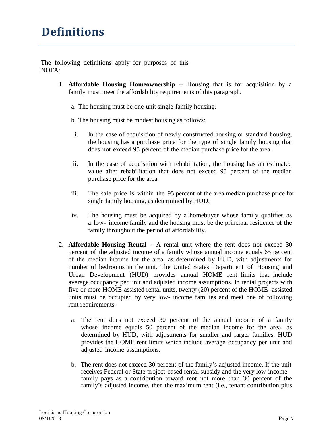The following definitions apply for purposes of this NOFA:

- 1. **Affordable Housing Homeownership** -- Housing that is for acquisition by a family must meet the affordability requirements of this paragraph.
	- a. The housing must be one-unit single-family housing.
	- b. The housing must be modest housing as follows:
	- i. In the case of acquisition of newly constructed housing or standard housing, the housing has a purchase price for the type of single family housing that does not exceed 95 percent of the median purchase price for the area.
	- ii. In the case of acquisition with rehabilitation, the housing has an estimated value after rehabilitation that does not exceed 95 percent of the median purchase price for the area.
	- iii. The sale price is within the 95 percent of the area median purchase price for single family housing, as determined by HUD.
	- iv. The housing must be acquired by a homebuyer whose family qualifies as a low- income family and the housing must be the principal residence of the family throughout the period of affordability.
- 2. **Affordable Housing Rental** A rental unit where the rent does not exceed 30 percent of the adjusted income of a family whose annual income equals 65 percent of the median income for the area, as determined by HUD, with adjustments for number of bedrooms in the unit. The United States Department of Housing and Urban Development (HUD) provides annual HOME rent limits that include average occupancy per unit and adjusted income assumptions. In rental projects with five or more HOME-assisted rental units, twenty (20) percent of the HOME- assisted units must be occupied by very low- income families and meet one of following rent requirements:
	- a. The rent does not exceed 30 percent of the annual income of a family whose income equals 50 percent of the median income for the area, as determined by HUD, with adjustments for smaller and larger families. HUD provides the HOME rent limits which include average occupancy per unit and adjusted income assumptions.
	- b. The rent does not exceed 30 percent of the family's adjusted income. If the unit receives Federal or State project-based rental subsidy and the very low-income family pays as a contribution toward rent not more than 30 percent of the family's adjusted income, then the maximum rent (i.e., tenant contribution plus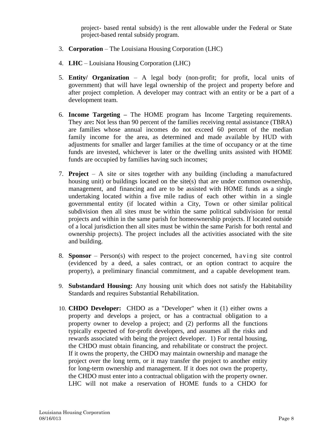project- based rental subsidy) is the rent allowable under the Federal or State project-based rental subsidy program.

- 3. **Corporation** The Louisiana Housing Corporation (LHC)
- 4. **LHC** Louisiana Housing Corporation (LHC)
- 5. **Entity/ Organization** A legal body (non-profit; for profit, local units of government) that will have legal ownership of the project and property before and after project completion. A developer may contract with an entity or be a part of a development team.
- 6. **Income Targeting –** The HOME program has Income Targeting requirements. They are**:** Not less than 90 percent of the families receiving rental assistance (TBRA) are families whose annual incomes do not exceed 60 percent of the median family income for the area, as determined and made available by HUD with adjustments for smaller and larger families at the time of occupancy or at the time funds are invested, whichever is later or the dwelling units assisted with HOME funds are occupied by families having such incomes;
- 7. **Project** A site or sites together with any building (including a manufactured housing unit) or buildings located on the site(s) that are under common ownership, management, and financing and are to be assisted with HOME funds as a single undertaking located within a five mile radius of each other within in a single governmental entity (if located within a City, Town or other similar political subdivision then all sites must be within the same political subdivision for rental projects and within in the same parish for homeownership projects. If located outside of a local jurisdiction then all sites must be within the same Parish for both rental and ownership projects). The project includes all the activities associated with the site and building.
- 8. **Sponsor** Person(s) with respect to the project concerned, having site control (evidenced by a deed, a sales contract, or an option contract to acquire the property), a preliminary financial commitment, and a capable development team.
- 9. **Substandard Housing:** Any housing unit which does not satisfy the Habitability Standards and requires Substantial Rehabilitation.
- 10. **CHDO Developer:** CHDO as a "Developer" when it (1) either owns a property and develops a project, or has a contractual obligation to a property owner to develop a project; and (2) performs all the functions typically expected of for-profit developers, and assumes all the risks and rewards associated with being the project developer. 1) For rental housing, the CHDO must obtain financing, and rehabilitate or construct the project. If it owns the property, the CHDO may maintain ownership and manage the project over the long term, or it may transfer the project to another entity for long-term ownership and management. If it does not own the property, the CHDO must enter into a contractual obligation with the property owner. LHC will not make a reservation of HOME funds to a CHDO for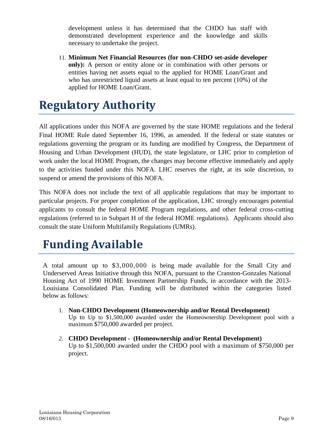development unless it has determined that the CHDO has staff with demonstrated development experience and the knowledge and skills necessary to undertake the project.

11. **Minimum Net Financial Resources (for non-CHDO set-aside developer only):** A person or entity alone or in combination with other persons or entities having net assets equal to the applied for HOME Loan/Grant and who has unrestricted liquid assets at least equal to ten percent (10%) of the applied for HOME Loan/Grant.

# **Regulatory Authority**

All applications under this NOFA are governed by the state HOME regulations and the federal Final HOME Rule dated September 16, 1996, as amended. If the federal or state statutes or regulations governing the program or its funding are modified by Congress, the Department of Housing and Urban Development (HUD), the state legislature, or LHC prior to completion of work under the local HOME Program, the changes may become effective immediately and apply to the activities funded under this NOFA. LHC reserves the right, at its sole discretion, to suspend or amend the provisions of this NOFA.

This NOFA does not include the text of all applicable regulations that may be important to particular projects. For proper completion of the application, LHC strongly encourages potential applicants to consult the federal HOME Program regulations, and other federal cross-cutting regulations (referred to in Subpart H of the federal HOME regulations). Applicants should also consult the state Uniform Multifamily Regulations (UMRs).

# **Funding Available**

A total amount up to \$3,000,000 is being made available for the Small City and Underserved Areas Initiative through this NOFA, pursuant to the Cranston‐Gonzales National Housing Act of 1990 HOME Investment Partnership Funds, in accordance with the 2013- Louisiana Consolidated Plan. Funding will be distributed within the categories listed below as follows:

- 1. **Non-CHDO Development (Homeownership and/or Rental Development)** Up to Up to \$1,500,000 awarded under the Homeownership Development pool with a maximum \$750,000 awarded per project.
- *2.* **CHDO Development (Homeownership and/or Rental Development)** Up to \$1,500,000 awarded under the CHDO pool with a maximum of \$750,000 per project.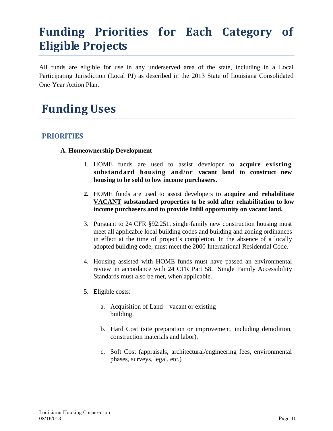# **Funding Priorities for Each Category of Eligible Projects**

All funds are eligible for use in any underserved area of the state, including in a Local Participating Jurisdiction (Local PJ) as described in the 2013 State of Louisiana Consolidated One‐Year Action Plan.

## **Funding Uses**

### **PRIORITIES**

#### **A. Homeownership Development**

- 1. HOME funds are used to assist developer to **acquire existing substandard housing and/or vacant land to construct new housing to be sold to low income purchasers.**
- **2.** HOME funds are used to assist developers to **acquire and rehabilitate VACANT substandard properties to be sold after rehabilitation to low income purchasers and to provide Infill opportunity on vacant land.**
- 3. Pursuant to 24 CFR §92.251, single‐family new construction housing must meet all applicable local building codes and building and zoning ordinances in effect at the time of project's completion. In the absence of a locally adopted building code, must meet the 2000 International Residential Code.
- 4. Housing assisted with HOME funds must have passed an environmental review in accordance with 24 CFR Part 58. Single Family Accessibility Standards must also be met, when applicable.
- 5. Eligible costs:
	- a. Acquisition of Land vacant or existing building.
	- b. Hard Cost (site preparation or improvement, including demolition, construction materials and labor).
	- c. Soft Cost (appraisals, architectural/engineering fees, environmental phases, surveys, legal, etc.)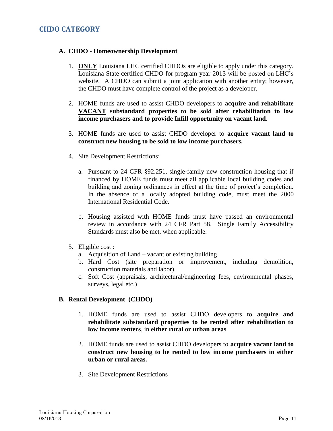### **CHDO CATEGORY**

#### **A. CHDO - Homeownership Development**

- 1. **ONLY** Louisiana LHC certified CHDOs are eligible to apply under this category. Louisiana State certified CHDO for program year 2013 will be posted on LHC's website. A CHDO can submit a joint application with another entity; however, the CHDO must have complete control of the project as a developer.
- 2. HOME funds are used to assist CHDO developers to **acquire and rehabilitate VACANT substandard properties to be sold after rehabilitation to low income purchasers and to provide Infill opportunity on vacant land.**
- 3. HOME funds are used to assist CHDO developer to **acquire vacant land to construct new housing to be sold to low income purchasers.**
- 4. Site Development Restrictions:
	- a. Pursuant to 24 CFR §92.251, single‐family new construction housing that if financed by HOME funds must meet all applicable local building codes and building and zoning ordinances in effect at the time of project's completion. In the absence of a locally adopted building code, must meet the 2000 International Residential Code.
	- b. Housing assisted with HOME funds must have passed an environmental review in accordance with 24 CFR Part 58. Single Family Accessibility Standards must also be met, when applicable.
- 5. Eligible cost :
	- a. Acquisition of Land vacant or existing building
	- b. Hard Cost (site preparation or improvement, including demolition, construction materials and labor).
	- c. Soft Cost (appraisals, architectural/engineering fees, environmental phases, surveys, legal etc.)

#### **B. Rental Development (CHDO)**

- 1. HOME funds are used to assist CHDO developers to **acquire and rehabilitate substandard properties to be rented after rehabilitation to low income renters**, in **either rural or urban areas**
- 2. HOME funds are used to assist CHDO developers to **acquire vacant land to construct new housing to be rented to low income purchasers in either urban or rural areas.**
- 3. Site Development Restrictions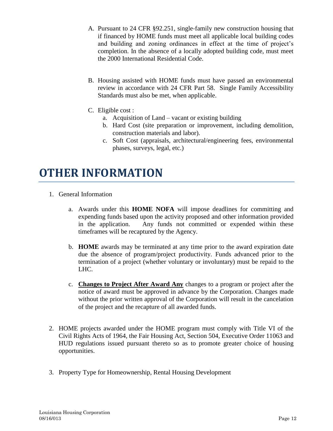- A. Pursuant to 24 CFR §92.251, single‐family new construction housing that if financed by HOME funds must meet all applicable local building codes and building and zoning ordinances in effect at the time of project's completion. In the absence of a locally adopted building code, must meet the 2000 International Residential Code.
- B. Housing assisted with HOME funds must have passed an environmental review in accordance with 24 CFR Part 58. Single Family Accessibility Standards must also be met, when applicable.
- C. Eligible cost :
	- a. Acquisition of Land vacant or existing building
	- b. Hard Cost (site preparation or improvement, including demolition, construction materials and labor).
	- c. Soft Cost (appraisals, architectural/engineering fees, environmental phases, surveys, legal, etc.)

### **OTHER INFORMATION**

- 1. General Information
	- a. Awards under this **HOME NOFA** will impose deadlines for committing and expending funds based upon the activity proposed and other information provided in the application. Any funds not committed or expended within these timeframes will be recaptured by the Agency.
	- b. **HOME** awards may be terminated at any time prior to the award expiration date due the absence of program/project productivity. Funds advanced prior to the termination of a project (whether voluntary or involuntary) must be repaid to the LHC.
	- c. **Changes to Project After Award Any** changes to a program or project after the notice of award must be approved in advance by the Corporation. Changes made without the prior written approval of the Corporation will result in the cancelation of the project and the recapture of all awarded funds.
- 2. HOME projects awarded under the HOME program must comply with Title VI of the Civil Rights Acts of 1964, the Fair Housing Act, Section 504, Executive Order 11063 and HUD regulations issued pursuant thereto so as to promote greater choice of housing opportunities.
- 3. Property Type for Homeownership, Rental Housing Development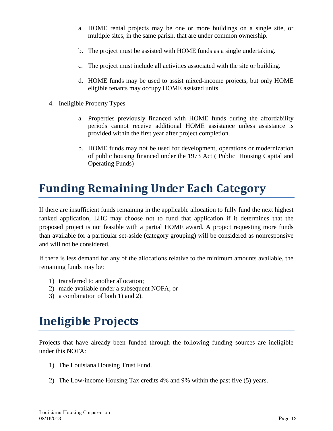- a. HOME rental projects may be one or more buildings on a single site, or multiple sites, in the same parish, that are under common ownership.
- b. The project must be assisted with HOME funds as a single undertaking.
- c. The project must include all activities associated with the site or building.
- d. HOME funds may be used to assist mixed-income projects, but only HOME eligible tenants may occupy HOME assisted units.
- 4. Ineligible Property Types
	- a. Properties previously financed with HOME funds during the affordability periods cannot receive additional HOME assistance unless assistance is provided within the first year after project completion.
	- b. HOME funds may not be used for development, operations or modernization of public housing financed under the 1973 Act ( Public Housing Capital and Operating Funds)

## **Funding Remaining Under Each Category**

If there are insufficient funds remaining in the applicable allocation to fully fund the next highest ranked application, LHC may choose not to fund that application if it determines that the proposed project is not feasible with a partial HOME award. A project requesting more funds than available for a particular set-aside (category grouping) will be considered as nonresponsive and will not be considered.

If there is less demand for any of the allocations relative to the minimum amounts available, the remaining funds may be:

- 1) transferred to another allocation;
- 2) made available under a subsequent NOFA; or
- 3) a combination of both 1) and 2).

# **Ineligible Projects**

Projects that have already been funded through the following funding sources are ineligible under this NOFA:

- 1) The Louisiana Housing Trust Fund.
- 2) The Low‐income Housing Tax credits 4% and 9% within the past five (5) years.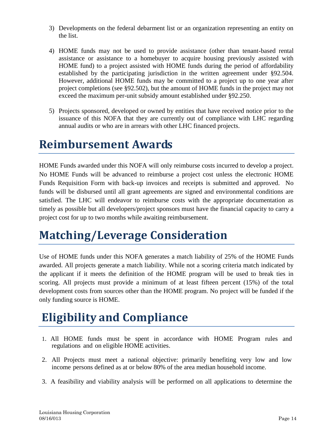- 3) Developments on the federal debarment list or an organization representing an entity on the list.
- 4) HOME funds may not be used to provide assistance (other than tenant-based rental assistance or assistance to a homebuyer to acquire housing previously assisted with HOME fund) to a project assisted with HOME funds during the period of affordability established by the participating jurisdiction in the written agreement under §92.504. However, additional HOME funds may be committed to a project up to one year after project completions (see §92.502), but the amount of HOME funds in the project may not exceed the maximum per-unit subsidy amount established under §92.250.
- 5) Projects sponsored, developed or owned by entities that have received notice prior to the issuance of this NOFA that they are currently out of compliance with LHC regarding annual audits or who are in arrears with other LHC financed projects.

## **Reimbursement Awards**

HOME Funds awarded under this NOFA will only reimburse costs incurred to develop a project. No HOME Funds will be advanced to reimburse a project cost unless the electronic HOME Funds Requisition Form with back-up invoices and receipts is submitted and approved. No funds will be disbursed until all grant agreements are signed and environmental conditions are satisfied. The LHC will endeavor to reimburse costs with the appropriate documentation as timely as possible but all developers/project sponsors must have the financial capacity to carry a project cost for up to two months while awaiting reimbursement.

# **Matching/Leverage Consideration**

Use of HOME funds under this NOFA generates a match liability of 25% of the HOME Funds awarded. All projects generate a match liability. While not a scoring criteria match indicated by the applicant if it meets the definition of the HOME program will be used to break ties in scoring. All projects must provide a minimum of at least fifteen percent (15%) of the total development costs from sources other than the HOME program. No project will be funded if the only funding source is HOME.

# **Eligibility and Compliance**

- 1. All HOME funds must be spent in accordance with HOME Program rules and regulations and on eligible HOME activities.
- 2. All Projects must meet a national objective: primarily benefiting very low and low income persons defined as at or below 80% of the area median household income.
- 3. A feasibility and viability analysis will be performed on all applications to determine the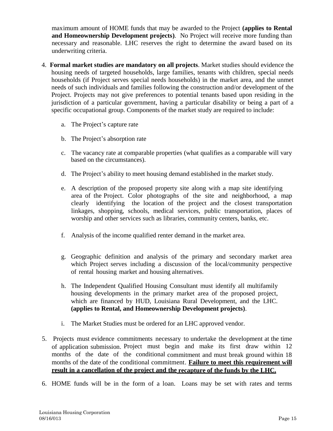maximum amount of HOME funds that may be awarded to the Project **(applies to Rental and Homeownership Development projects)**. No Project will receive more funding than necessary and reasonable. LHC reserves the right to determine the award based on its underwriting criteria.

- 4. **Formal market studies are mandatory on all projects**. Market studies should evidence the housing needs of targeted households, large families, tenants with children, special needs households (if Project serves special needs households) in the market area, and the unmet needs of such individuals and families following the construction and/or development of the Project. Projects may not give preferences to potential tenants based upon residing in the jurisdiction of a particular government, having a particular disability or being a part of a specific occupational group. Components of the market study are required to include:
	- a. The Project's capture rate
	- b. The Project's absorption rate
	- c. The vacancy rate at comparable properties (what qualifies as a comparable will vary based on the circumstances).
	- d. The Project's ability to meet housing demand established in the market study.
	- e. A description of the proposed property site along with a map site identifying area of the Project. Color photographs of the site and neighborhood, a map clearly identifying the location of the project and the closest transportation linkages, shopping, schools, medical services, public transportation, places of worship and other services such as libraries, community centers, banks, etc.
	- f. Analysis of the income qualified renter demand in the market area.
	- g. Geographic definition and analysis of the primary and secondary market area which Project serves including a discussion of the local/community perspective of rental housing market and housing alternatives.
	- h. The Independent Qualified Housing Consultant must identify all multifamily housing developments in the primary market area of the proposed project, which are financed by HUD, Louisiana Rural Development, and the LHC. **(applies to Rental, and Homeownership Development projects)**.
	- i. The Market Studies must be ordered for an LHC approved vendor.
- 5. Projects must evidence commitments necessary to undertake the development at the time of application submission. Project must begin and make its first draw within 12 months of the date of the conditional commitment and must break ground within 18 months of the date of the conditional commitment. **Failure to meet this requirement will result in a cancellation of the project and the recapture of the funds by the LHC.**
- 6. HOME funds will be in the form of a loan. Loans may be set with rates and terms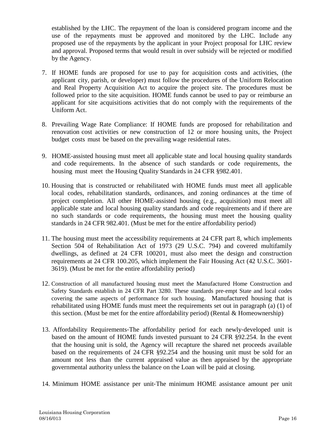established by the LHC. The repayment of the loan is considered program income and the use of the repayments must be approved and monitored by the LHC. Include any proposed use of the repayments by the applicant in your Project proposal for LHC review and approval. Proposed terms that would result in over subsidy will be rejected or modified by the Agency.

- 7. If HOME funds are proposed for use to pay for acquisition costs and activities, (the applicant city, parish, or developer) must follow the procedures of the Uniform Relocation and Real Property Acquisition Act to acquire the project site. The procedures must be followed prior to the site acquisition. HOME funds cannot be used to pay or reimburse an applicant for site acquisitions activities that do not comply with the requirements of the Uniform Act.
- 8. Prevailing Wage Rate Compliance: If HOME funds are proposed for rehabilitation and renovation cost activities or new construction of 12 or more housing units, the Project budget costs must be based on the prevailing wage residential rates.
- 9. HOME‐assisted housing must meet all applicable state and local housing quality standards and code requirements. In the absence of such standards or code requirements, the housing must meet the Housing Quality Standards in 24 CFR §982.401.
- 10. Housing that is constructed or rehabilitated with HOME funds must meet all applicable local codes, rehabilitation standards, ordinances, and zoning ordinances at the time of project completion. All other HOME‐assisted housing (e.g., acquisition) must meet all applicable state and local housing quality standards and code requirements and if there are no such standards or code requirements, the housing must meet the housing quality standards in 24 CFR 982.401. (Must be met for the entire affordability period)
- 11. The housing must meet the accessibility requirements at 24 CFR part 8, which implements Section 504 of Rehabilitation Act of 1973 (29 U.S.C. 794) and covered multifamily dwellings, as defined at 24 CFR 100201, must also meet the design and construction requirements at 24 CFR 100.205, which implement the Fair Housing Act (42 U.S.C. 3601- 3619). (Must be met for the entire affordability period)
- 12. Construction of all manufactured housing must meet the Manufactured Home Construction and Safety Standards establish in 24 CFR Part 3280. These standards pre‐empt State and local codes covering the same aspects of performance for such housing. Manufactured housing that is rehabilitated using HOME funds must meet the requirements set out in paragraph (a) (1) of this section. (Must be met for the entire affordability period) (Rental  $\&$  Homeownership)
- 13. Affordability Requirements‐The affordability period for each newly‐developed unit is based on the amount of HOME funds invested pursuant to 24 CFR §92.254. In the event that the housing unit is sold, the Agency will recapture the shared net proceeds available based on the requirements of 24 CFR §92.254 and the housing unit must be sold for an amount not less than the current appraised value as then appraised by the appropriate governmental authority unless the balance on the Loan will be paid at closing.
- 14. Minimum HOME assistance per unit‐The minimum HOME assistance amount per unit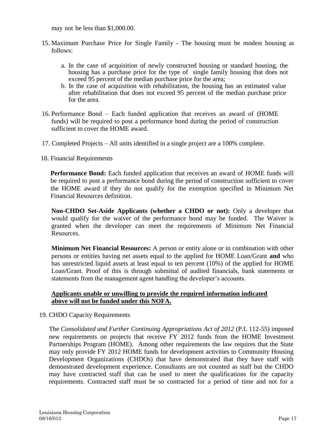may not be less than \$1,000.00.

- 15. Maximum Purchase Price for Single Family The housing must be modest housing as follows:
	- a. In the case of acquisition of newly constructed housing or standard housing, the housing has a purchase price for the type of single family housing that does not exceed 95 percent of the median purchase price for the area;
	- b. In the case of acquisition with rehabilitation, the housing has an estimated value after rehabilitation that does not exceed 95 percent of the median purchase price for the area.
- 16. Performance Bond Each funded application that receives an award of (HOME funds) will be required to post a performance bond during the period of construction sufficient to cover the HOME award.
- 17. Completed Projects All units identified in a single project are a 100% complete.
- 18. Financial Requirements

**Performance Bond:** Each funded application that receives an award of HOME funds will be required to post a performance bond during the period of construction sufficient to cover the HOME award if they do not qualify for the exemption specified in Minimum Net Financial Resources definition.

**Non-CHDO Set-Aside Applicants (whether a CHDO or not):** Only a developer that would qualify for the waiver of the performance bond may be funded. The Waiver is granted when the developer can meet the requirements of Minimum Net Financial Resources.

**Minimum Net Financial Resources:** A person or entity alone or in combination with other persons or entities having net assets equal to the applied for HOME Loan/Grant **and** who has unrestricted liquid assets at least equal to ten percent (10%) of the applied for HOME Loan/Grant. Proof of this is through submittal of audited financials, bank statements or statements from the management agent handling the developer's accounts.

#### **Applicants unable or unwilling to provide the required information indicated above will not be funded under this NOFA.**

19. CHDO Capacity Requirements

The *Consolidated and Further Continuing Appropriations Act of 2012* (P.L 112-55) imposed new requirements on projects that receive FY 2012 funds from the HOME Investment Partnerships Program (HOME). Among other requirements the law requires that the State may only provide FY 2012 HOME funds for development activities to Community Housing Development Organizations (CHDOs) that have demonstrated that they have staff with demonstrated development experience. Consultants are not counted as staff but the CHDO may have contracted staff that can be used to meet the qualifications for the capacity requirements. Contracted staff must be so contracted for a period of time and not for a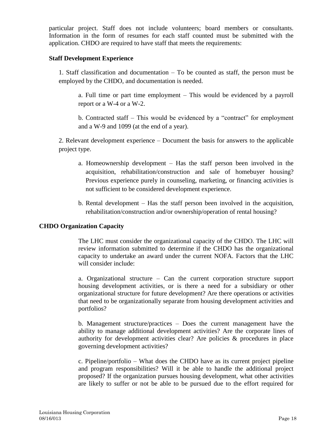particular project. Staff does not include volunteers; board members or consultants. Information in the form of resumes for each staff counted must be submitted with the application. CHDO are required to have staff that meets the requirements:

#### **Staff Development Experience**

1. Staff classification and documentation – To be counted as staff, the person must be employed by the CHDO, and documentation is needed.

a. Full time or part time employment – This would be evidenced by a payroll report or a W-4 or a W-2.

b. Contracted staff – This would be evidenced by a "contract" for employment and a W-9 and 1099 (at the end of a year).

2. Relevant development experience – Document the basis for answers to the applicable project type.

- a. Homeownership development Has the staff person been involved in the acquisition, rehabilitation/construction and sale of homebuyer housing? Previous experience purely in counseling, marketing, or financing activities is not sufficient to be considered development experience.
- b. Rental development Has the staff person been involved in the acquisition, rehabilitation/construction and/or ownership/operation of rental housing?

#### **CHDO Organization Capacity**

The LHC must consider the organizational capacity of the CHDO. The LHC will review information submitted to determine if the CHDO has the organizational capacity to undertake an award under the current NOFA. Factors that the LHC will consider include:

a. Organizational structure – Can the current corporation structure support housing development activities, or is there a need for a subsidiary or other organizational structure for future development? Are there operations or activities that need to be organizationally separate from housing development activities and portfolios?

b. Management structure/practices – Does the current management have the ability to manage additional development activities? Are the corporate lines of authority for development activities clear? Are policies & procedures in place governing development activities?

c. Pipeline/portfolio – What does the CHDO have as its current project pipeline and program responsibilities? Will it be able to handle the additional project proposed? If the organization pursues housing development, what other activities are likely to suffer or not be able to be pursued due to the effort required for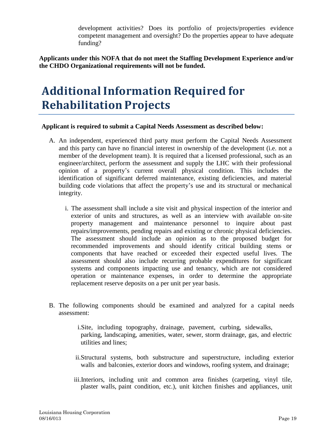development activities? Does its portfolio of projects/properties evidence competent management and oversight? Do the properties appear to have adequate funding?

**Applicants under this NOFA that do not meet the Staffing Development Experience and/or the CHDO Organizational requirements will not be funded.**

## **Additional Information Required for Rehabilitation Projects**

#### **Applicant is required to submit a Capital Needs Assessment as described below:**

- A. An independent, experienced third party must perform the Capital Needs Assessment and this party can have no financial interest in ownership of the development (i.e. not a member of the development team). It is required that a licensed professional, such as an engineer/architect, perform the assessment and supply the LHC with their professional opinion of a property's current overall physical condition. This includes the identification of significant deferred maintenance, existing deficiencies, and material building code violations that affect the property's use and its structural or mechanical integrity.
	- i. The assessment shall include a site visit and physical inspection of the interior and exterior of units and structures, as well as an interview with available on‐site property management and maintenance personnel to inquire about past repairs/improvements, pending repairs and existing or chronic physical deficiencies. The assessment should include an opinion as to the proposed budget for recommended improvements and should identify critical building stems or components that have reached or exceeded their expected useful lives. The assessment should also include recurring probable expenditures for significant systems and components impacting use and tenancy, which are not considered operation or maintenance expenses, in order to determine the appropriate replacement reserve deposits on a per unit per year basis.
- B. The following components should be examined and analyzed for a capital needs assessment:
	- i.Site, including topography, drainage, pavement, curbing, sidewalks, parking, landscaping, amenities, water, sewer, storm drainage, gas, and electric utilities and lines;
	- ii.Structural systems, both substructure and superstructure, including exterior walls and balconies, exterior doors and windows, roofing system, and drainage;
	- iii.Interiors, including unit and common area finishes (carpeting, vinyl tile, plaster walls, paint condition, etc.), unit kitchen finishes and appliances, unit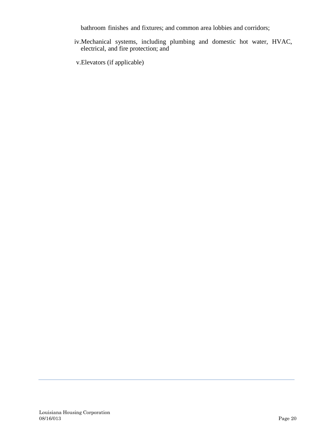bathroom finishes and fixtures; and common area lobbies and corridors;

iv.Mechanical systems, including plumbing and domestic hot water, HVAC, electrical, and fire protection; and

v.Elevators (if applicable)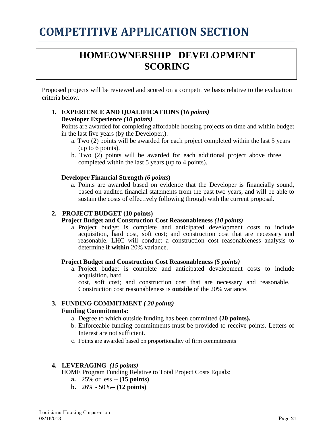# **COMPETITIVE APPLICATION SECTION**

### **HOMEOWNERSHIP DEVELOPMENT SCORING**

Proposed projects will be reviewed and scored on a competitive basis relative to the evaluation criteria below.

#### **1. EXPERIENCE AND QUALIFICATIONS (***16 points)* **Developer Experience** *(10 points)*

Points are awarded for completing affordable housing projects on time and within budget in the last five years (by the Developer,).

- a. Two (2) points will be awarded for each project completed within the last 5 years (up to 6 points).
- b. Two (2) points will be awarded for each additional project above three completed within the last 5 years (up to 4 points).

#### **Developer Financial Strength** *(6 points***)**

a. Points are awarded based on evidence that the Developer is financially sound, based on audited financial statements from the past two years, and will be able to sustain the costs of effectively following through with the current proposal.

#### **2. PROJECT BUDGET (10 points)**

#### **Project Budget and Construction Cost Reasonableness** *(10 points)*

a. Project budget is complete and anticipated development costs to include acquisition, hard cost, soft cost; and construction cost that are necessary and reasonable. LHC will conduct a construction cost reasonableness analysis to determine **if within** 20% variance.

#### **Project Budget and Construction Cost Reasonableness (***5 points)*

a. Project budget is complete and anticipated development costs to include acquisition, hard

cost, soft cost; and construction cost that are necessary and reasonable. Construction cost reasonableness is **outside** of the 20% variance.

#### **3. FUNDING COMMITMENT** *( 20 points)* **Funding Commitments:**

- a. Degree to which outside funding has been committed **(20 points).**
- b. Enforceable funding commitments must be provided to receive points. Letters of Interest are not sufficient.
- c. Points are awarded based on proportionality of firm commitments

#### **4. LEVERAGING** *(15 points)*

HOME Program Funding Relative to Total Project Costs Equals:

- **a.** 25% or less -- **(15 points)**
- **b.** 26% 50%-- **(12 points)**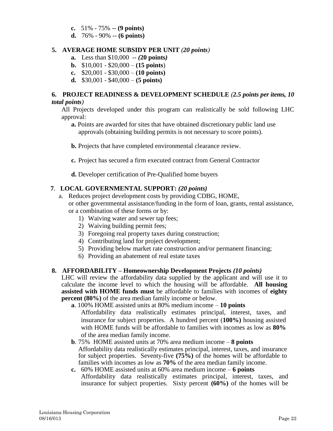- **c.** 51% 75% -- **(9 points)**
- **d.** 76% 90% -- **(6 points)**

#### **5. AVERAGE HOME SUBSIDY PER UNIT** *(20 points)*

- **a.**Less than \$10,000 -- *(***20 points***)*
- **b.** \$10,001 \$20,000 **(15 points**)
- **c.** \$20,001 \$30,000 **(10 points)**
- **d.** \$30,001 \$40,000 **(5 points)**

#### **6. PROJECT READINESS & DEVELOPMENT SCHEDULE** *(2.5 points per items, 10 total points)*

All Projects developed under this program can realistically be sold following LHC approval:

**a.** Points are awarded for sites that have obtained discretionary public land use approvals (obtaining building permits is not necessary to score points).

**b.** Projects that have completed environmental clearance review.

- **c.** Project has secured a firm executed contract from General Contractor
- **d.** Developer certification of Pre-Qualified home buyers

#### **7**. **LOCAL GOVERNMENTAL SUPPORT:** *(20 points)*

- a. Reduces project development costs by providing CDBG, HOME, or other governmental assistance/funding in the form of loan, grants, rental assistance,
	- or a combination of these forms or by:
		- 1) Waiving water and sewer tap fees;
		- 2) Waiving building permit fees;
		- 3) Foregoing real property taxes during construction;
		- 4) Contributing land for project development;
		- 5) Providing below market rate construction and/or permanent financing;
		- 6) Providing an abatement of real estate taxes

#### **8. AFFORDABILITY – Homeownership Development Projects** *(10 points)*

LHC will review the affordability data supplied by the applicant and will use it to calculate the income level to which the housing will be affordable. **All housing assisted with HOME funds must** be affordable to families with incomes of **eighty percent** (80%) of the area median family income or below.

- **a**. 100% HOME assisted units at 80% medium income **10 points**
	- Affordability data realistically estimates principal, interest, taxes, and insurance for subject properties. A hundred percent (**100%)** housing assisted with HOME funds will be affordable to families with incomes as low as **80%** of the area median family income.
- **b**. 75% HOME assisted units at 70% area medium income **8 points** Affordability data realistically estimates principal, interest, taxes, and insurance for subject properties. Seventy-five **(75%)** of the homes will be affordable to families with incomes as low as **70%** of the area median family income.
- **c.** 60% HOME assisted units at 60% area medium income **6 points** Affordability data realistically estimates principal, interest, taxes, and insurance for subject properties. Sixty percent **(60%)** of the homes will be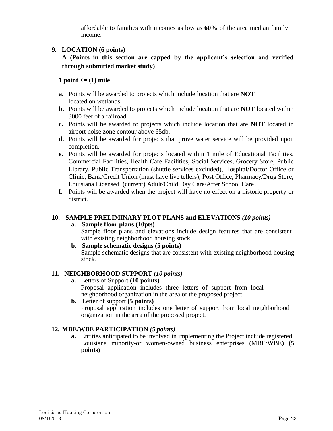affordable to families with incomes as low as **60%** of the area median family income.

#### **9. LOCATION (6 points)**

**A (Points in this section are capped by the applicant's selection and verified through submitted market study)**

#### 1 point  $\leq$  (1) mile

- **a.** Points will be awarded to projects which include location that are **NOT**  located on wetlands.
- **b.** Points will be awarded to projects which include location that are **NOT** located within 3000 feet of a railroad.
- **c.** Points will be awarded to projects which include location that are **NOT** located in airport noise zone contour above 65db.
- **d.** Points will be awarded for projects that prove water service will be provided upon completion.
- **e.** Points will be awarded for projects located within 1 mile of Educational Facilities, Commercial Facilities, Health Care Facilities, Social Services, Grocery Store, Public Library, Public Transportation (shuttle services excluded), Hospital/Doctor Office or Clinic, Bank/Credit Union (must have live tellers), Post Office, Pharmacy/Drug Store, Louisiana Licensed (current) Adult/Child Day Care/After School Care.
- **f.** Points will be awarded when the project will have no effect on a historic property or district.

#### **10. SAMPLE PRELIMINARY PLOT PLANS and ELEVATIONS** *(10 points)*

- **a. Sample floor plans (10pts)** Sample floor plans and elevations include design features that are consistent with existing neighborhood housing stock.
- **b. Sample schematic designs (5 points)** Sample schematic designs that are consistent with existing neighborhood housing stock.

#### **11. NEIGHBORHOOD SUPPORT** *(10 points)*

- **a.** Letters of Support **(10 points)** Proposal application includes three letters of support from local neighborhood organization in the area of the proposed project
- **b.**Letter of support **(5 points)** Proposal application includes one letter of support from local neighborhood organization in the area of the proposed project.

#### **12. MBE/WBE PARTICIPATION** *(5 points)*

**a.** Entities anticipated to be involved in implementing the Project include registered Louisiana minority-or women-owned business enterprises (MBE/WBE**) (5 points)**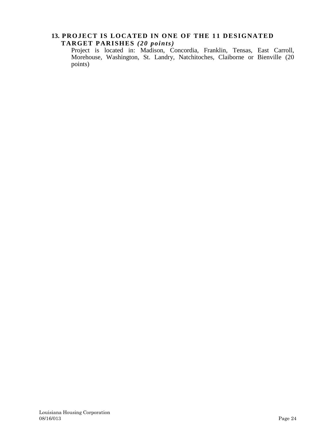### 13. PROJECT IS LOCATED IN ONE OF THE 11 DESIGNATED **TARGET PARISHES** *(20 points)*

Project is located in: Madison, Concordia, Franklin, Tensas, East Carroll, Morehouse, Washington, St. Landry, Natchitoches, Claiborne or Bienville (20 points)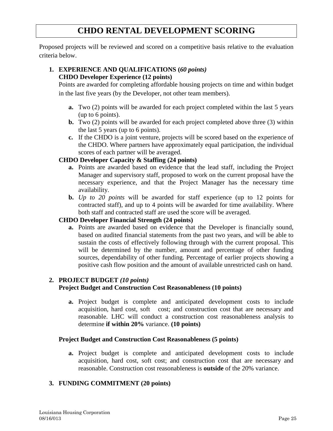### **CHDO RENTAL DEVELOPMENT SCORING**

Proposed projects will be reviewed and scored on a competitive basis relative to the evaluation criteria below.

#### **1. EXPERIENCE AND QUALIFICATIONS (***60 points)* **CHDO Developer Experience (12 points)**

Points are awarded for completing affordable housing projects on time and within budget in the last five years (by the Developer, not other team members).

- **a.** Two (2) points will be awarded for each project completed within the last 5 years (up to 6 points).
- **b.** Two (2) points will be awarded for each project completed above three (3) within the last  $5$  years (up to 6 points).
- **c.** If the CHDO is a joint venture, projects will be scored based on the experience of the CHDO. Where partners have approximately equal participation, the individual scores of each partner will be averaged.

### **CHDO Developer Capacity & Staffing (24 points)**

- **a.** Points are awarded based on evidence that the lead staff, including the Project Manager and supervisory staff, proposed to work on the current proposal have the necessary experience, and that the Project Manager has the necessary time availability.
- **b.** *Up to 20 points* will be awarded for staff experience (up to 12 points for contracted staff), and up to 4 points will be awarded for time availability. Where both staff and contracted staff are used the score will be averaged.

### **CHDO Developer Financial Strength (24 points)**

**a.** Points are awarded based on evidence that the Developer is financially sound, based on audited financial statements from the past two years, and will be able to sustain the costs of effectively following through with the current proposal. This will be determined by the number, amount and percentage of other funding sources, dependability of other funding. Percentage of earlier projects showing a positive cash flow position and the amount of available unrestricted cash on hand.

#### **2. PROJECT BUDGET** *(10 points)*

#### **Project Budget and Construction Cost Reasonableness (10 points)**

**a.** Project budget is complete and anticipated development costs to include acquisition, hard cost, soft cost; and construction cost that are necessary and reasonable. LHC will conduct a construction cost reasonableness analysis to determine **if within 20%** variance. **(10 points)**

#### **Project Budget and Construction Cost Reasonableness (5 points)**

**a.** Project budget is complete and anticipated development costs to include acquisition, hard cost, soft cost; and construction cost that are necessary and reasonable. Construction cost reasonableness is **outside** of the 20% variance.

#### **3. FUNDING COMMITMENT (20 points)**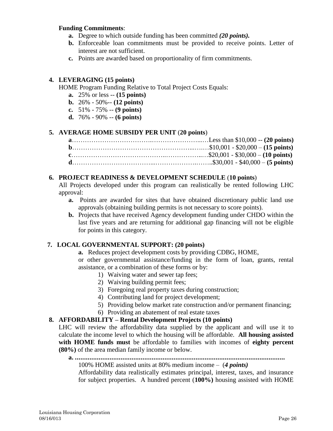#### **Funding Commitments**:

- **a.** Degree to which outside funding has been committed *(20 points).*
- **b.** Enforceable loan commitments must be provided to receive points. Letter of interest are not sufficient.
- **c.** Points are awarded based on proportionality of firm commitments.

#### **4. LEVERAGING (15 points)**

HOME Program Funding Relative to Total Project Costs Equals:

- **a.** 25% or less -- **(15 points)**
- **b.** 26% 50%-- **(12 points)**
- **c.** 51% 75% -- **(9 points)**
- **d.** 76% 90% -- **(6 points)**

#### **5. AVERAGE HOME SUBSIDY PER UNIT** (**20 points**)

#### **6. PROJECT READINESS & DEVELOPMENT SCHEDULE** (**10 points**)

All Projects developed under this program can realistically be rented following LHC approval:

- **a.** Points are awarded for sites that have obtained discretionary public land use approvals (obtaining building permits is not necessary to score points).
- **b.** Projects that have received Agency development funding under CHDO within the last five years and are returning for additional gap financing will not be eligible for points in this category.

#### **7. LOCAL GOVERNMENTAL SUPPORT: (20 points)**

**a.** Reduces project development costs by providing CDBG, HOME,

or other governmental assistance/funding in the form of loan, grants, rental assistance, or a combination of these forms or by:

- 1) Waiving water and sewer tap fees;
- 2) Waiving building permit fees;
- 3) Foregoing real property taxes during construction;
- 4) Contributing land for project development;
- 5) Providing below market rate construction and/or permanent financing;
- 6) Providing an abatement of real estate taxes

#### **8. AFFORDABILITY – Rental Development Projects (10 points)**

LHC will review the affordability data supplied by the applicant and will use it to calculate the income level to which the housing will be affordable. **All housing assisted with HOME funds must** be affordable to families with incomes of **eighty percent (80%)** of the area median family income or below.

#### **a. ...................................................................................................................** 100% HOME assisted units at 80% medium income – (*4 points)*

Affordability data realistically estimates principal, interest, taxes, and insurance for subject properties. A hundred percent (**100%)** housing assisted with HOME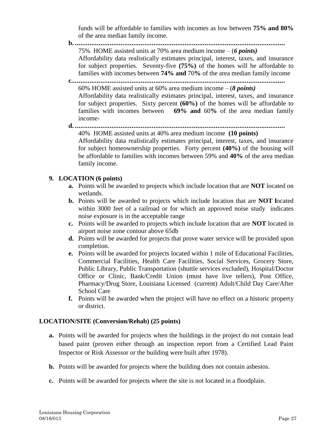funds will be affordable to families with incomes as low between **75% and 80%** of the area median family income.

- **b. ...................................................................................................................** 75% HOME assisted units at 70% area medium income – (*6 points)* Affordability data realistically estimates principal, interest, taxes, and insurance for subject properties. Seventy-five **(75%)** of the homes will be affordable to families with incomes between **74% and** 70**%** of the area median family income
- **c.....................................................................................................................** 60% HOME assisted units at 60% area medium income – (*8 points)* Affordability data realistically estimates principal, interest, taxes, and insurance for subject properties. Sixty percent **(60%)** of the homes will be affordable to families with incomes between **69% and** 60**%** of the area median family income-
- **d. ...................................................................................................................** 40% HOME assisted units at 40% area medium income **(10 points)**

Affordability data realistically estimates principal, interest, taxes, and insurance for subject homeownership properties. Forty percent **(40%)** of the housing will be affordable to families with incomes between 59% and **40%** of the area median family income.

#### **9. LOCATION (6 points)**

- **a.** Points will be awarded to projects which include location that are **NOT** located on wetlands.
- **b.** Points will be awarded to projects which include location that are **NOT l**ocated within 3000 feet of a railroad or for which an approved noise study indicates noise exposure is in the acceptable range
- **c.** Points will be awarded to projects which include location that are **NOT** located in airport noise zone contour above 65db
- **d.** Points will be awarded for projects that prove water service will be provided upon completion.
- **e.** Points will be awarded for projects located within 1 mile of Educational Facilities, Commercial Facilities, Health Care Facilities, Social Services, Grocery Store, Public Library, Public Transportation (shuttle services excluded), Hospital/Doctor Office or Clinic, Bank/Credit Union (must have live tellers), Post Office, Pharmacy/Drug Store, Louisiana Licensed (current) Adult/Child Day Care/After School Care
- **f.** Points will be awarded when the project will have no effect on a historic property or district.

#### **LOCATION/SITE (Conversion/Rehab) (25 points)**

- **a.** Points will be awarded for projects when the buildings in the project do not contain lead based paint (proven either through an inspection report from a Certified Lead Paint Inspector or Risk Assessor or the building were built after 1978).
- **b.** Points will be awarded for projects where the building does not contain asbestos.
- **c.** Points will be awarded for projects where the site is not located in a floodplain.